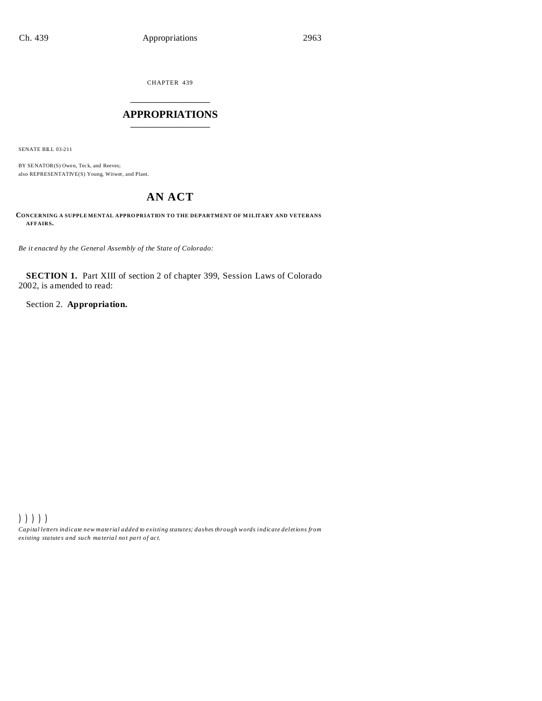CHAPTER 439 \_\_\_\_\_\_\_\_\_\_\_\_\_\_\_

## **APPROPRIATIONS** \_\_\_\_\_\_\_\_\_\_\_\_\_\_\_

SENATE BILL 03-211

BY SENATOR(S) Owen, Teck, and Reeves; also REPRESENTATIVE(S) Young, Witwer, and Plant.

# **AN ACT**

**CONCERNING A SUPPLE MENTAL APPRO PRIATION TO THE DEPARTMENT OF M ILITARY AND VETERANS AFFAIRS.**

*Be it enacted by the General Assembly of the State of Colorado:*

**SECTION 1.** Part XIII of section 2 of chapter 399, Session Laws of Colorado 2002, is amended to read:

Section 2. **Appropriation.**

))))) *Capital letters indicate new material added to existing statutes; dashes through words indicate deletions from ex isting statute s and such ma teria l no t pa rt of ac t.*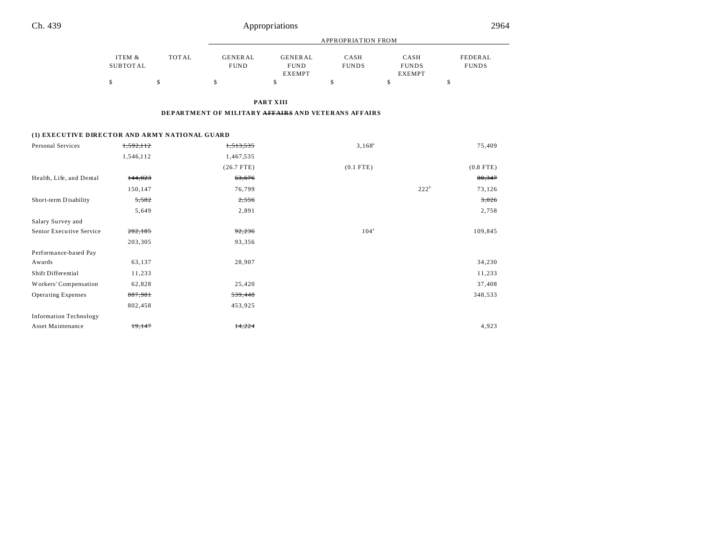| Ch. 439                                        |                           | Appropriations            |                                                     |                                                |                      |                                       |                                |  |
|------------------------------------------------|---------------------------|---------------------------|-----------------------------------------------------|------------------------------------------------|----------------------|---------------------------------------|--------------------------------|--|
|                                                |                           | <b>APPROPRIATION FROM</b> |                                                     |                                                |                      |                                       |                                |  |
|                                                | ITEM &<br><b>SUBTOTAL</b> | <b>TOTAL</b>              | <b>GENERAL</b><br><b>FUND</b>                       | <b>GENERAL</b><br><b>FUND</b><br><b>EXEMPT</b> | CASH<br><b>FUNDS</b> | CASH<br><b>FUNDS</b><br><b>EXEMPT</b> | <b>FEDERAL</b><br><b>FUNDS</b> |  |
|                                                | \$                        | \$                        | \$                                                  | \$                                             | \$                   | \$                                    | \$                             |  |
|                                                |                           |                           |                                                     | <b>PART XIII</b>                               |                      |                                       |                                |  |
|                                                |                           |                           | DEPARTMENT OF MILITARY AFFAIRS AND VETERANS AFFAIRS |                                                |                      |                                       |                                |  |
| (1) EXECUTIVE DIRECTOR AND ARMY NATIONAL GUARD |                           |                           |                                                     |                                                |                      |                                       |                                |  |
| Personal Services                              | 1,592,112                 |                           | 1,513,535                                           |                                                | $3,168^a$            |                                       | 75,409                         |  |
|                                                | 1,546,112                 |                           | 1,467,535                                           |                                                |                      |                                       |                                |  |
|                                                |                           |                           | $(26.7$ FTE)                                        |                                                | $(0.1$ FTE)          |                                       | $(0.8$ FTE)                    |  |
| Health, Life, and Dental                       | 144,023                   |                           | 63,676                                              |                                                |                      |                                       | 80,347                         |  |
|                                                | 150,147                   |                           | 76,799                                              |                                                |                      | 222 <sup>b</sup>                      | 73,126                         |  |
| Short-term Disability                          | 5,582                     |                           | 2,556                                               |                                                |                      |                                       | 3,026                          |  |
|                                                | 5,649                     |                           | 2,891                                               |                                                |                      |                                       | 2,758                          |  |
| Salary Survey and                              |                           |                           |                                                     |                                                |                      |                                       |                                |  |
| Senior Executive Service                       | 202,185                   |                           | 92,236                                              |                                                | 104 <sup>a</sup>     |                                       | 109,845                        |  |
|                                                | 203,305                   |                           | 93,356                                              |                                                |                      |                                       |                                |  |
| Performance-based Pay                          |                           |                           |                                                     |                                                |                      |                                       |                                |  |
| Awards                                         | 63,137                    |                           | 28,907                                              |                                                |                      |                                       | 34,230                         |  |

Shift Differential 11,233 11,233 Workers' Compensation 62,828 25,420 37,408 Operating Expenses 887,981 887,981 559,448 559,448

Asset Maintenance  $\frac{19,147}{14,224}$   $\frac{14,224}{14,224}$  4,923

802,458 453,925

Information Technology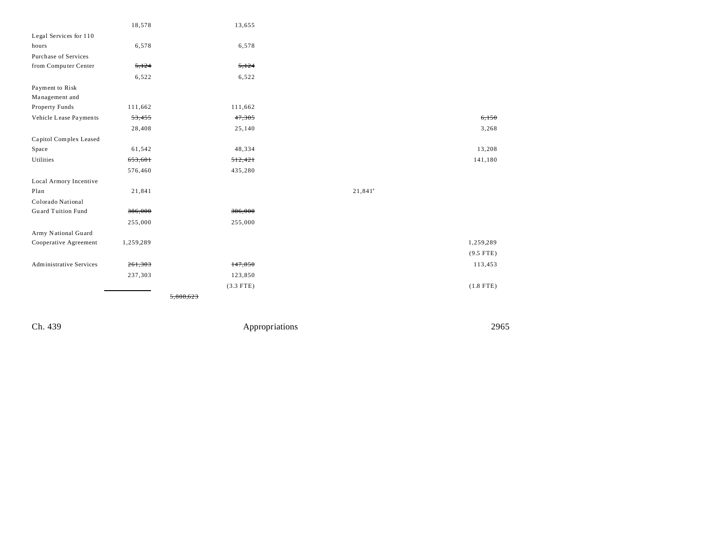|                                | 18,578    | 13,655      |            |             |
|--------------------------------|-----------|-------------|------------|-------------|
| Legal Services for 110         |           |             |            |             |
| hours                          | 6,578     | 6,578       |            |             |
| Purchase of Services           |           |             |            |             |
| from Computer Center           | 5,124     | 5,124       |            |             |
|                                | 6,522     | 6,522       |            |             |
| Payment to Risk                |           |             |            |             |
| Management and                 |           |             |            |             |
| Property Funds                 | 111,662   | 111,662     |            |             |
| Vehicle Lease Payments         | 53,455    | 47,305      |            | 6,150       |
|                                | 28,408    | 25,140      |            | 3,268       |
| Capitol Complex Leased         |           |             |            |             |
| Space                          | 61,542    | 48,334      |            | 13,208      |
| Utilities                      | 653,601   | 512,421     |            | 141,180     |
|                                | 576,460   | 435,280     |            |             |
| Local Armory Incentive         |           |             |            |             |
| Plan                           | 21,841    |             | $21,841^a$ |             |
| Colorado National              |           |             |            |             |
| <b>Guard Tuition Fund</b>      | 386,000   | 386,000     |            |             |
|                                | 255,000   | 255,000     |            |             |
| Army National Guard            |           |             |            |             |
| Cooperative Agreement          | 1,259,289 |             |            | 1,259,289   |
|                                |           |             |            | $(9.5$ FTE) |
| <b>Administrative Services</b> | 261,303   | 147,850     |            | 113,453     |
|                                | 237,303   | 123,850     |            |             |
|                                |           | $(3.3$ FTE) |            | $(1.8$ FTE) |
|                                |           | 5,808,623   |            |             |

Ch. 439 Appropriations 2965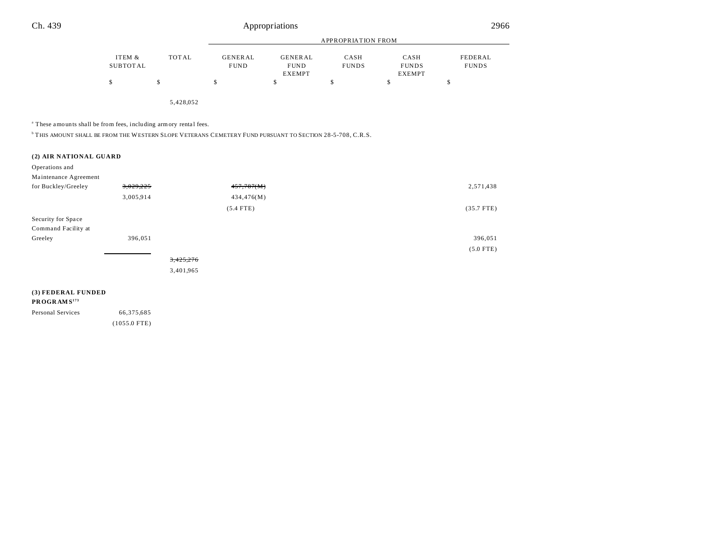|                    |              | APPROPRIATION FROM     |                                         |                      |                                       |                         |
|--------------------|--------------|------------------------|-----------------------------------------|----------------------|---------------------------------------|-------------------------|
| ITEM &<br>SUBTOTAL | <b>TOTAL</b> | GENERAL<br><b>FUND</b> | GENERAL<br><b>FUND</b><br><b>EXEMPT</b> | CASH<br><b>FUNDS</b> | CASH<br><b>FUNDS</b><br><b>EXEMPT</b> | FEDERAL<br><b>FUNDS</b> |
| S                  |              | S                      |                                         |                      | J                                     | Φ                       |
|                    |              |                        |                                         |                      |                                       |                         |

5,428,052

<sup>a</sup> These amounts shall be from fees, including armory rental fees.

 $^{\rm b}$  THIS AMOUNT SHALL BE FROM THE WESTERN SLOPE VETERANS CEMETERY FUND PURSUANT TO SECTION 28-5-708, C.R.S.

#### **(2) AIR NATIONAL GUARD**

Operations and

| Maintenance Agreement |           |             |              |
|-----------------------|-----------|-------------|--------------|
| for Buckley/Greeley   | 3,029,225 | 457,787(M)  | 2,571,438    |
|                       | 3,005,914 | 434,476(M)  |              |
|                       |           | $(5.4$ FTE) | $(35.7$ FTE) |
| Security for Space    |           |             |              |
| Command Facility at   |           |             |              |
| Greeley               | 396,051   |             | 396,051      |
|                       |           |             | $(5.0$ FTE)  |
|                       |           | 3,425,276   |              |
|                       |           | 3,401,965   |              |
|                       |           |             |              |

### **(3) FEDERAL FUNDED**

#### **PR OGR AM S<sup>173</sup>**

Personal Services 66,375,685

(1055.0 FTE)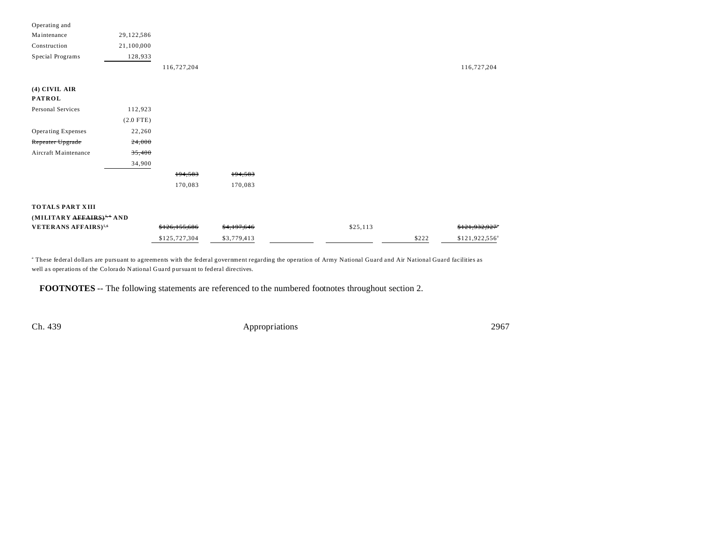| Operating and                           |             |               |             |          |       |                        |
|-----------------------------------------|-------------|---------------|-------------|----------|-------|------------------------|
| Maintenance                             | 29,122,586  |               |             |          |       |                        |
| Construction                            | 21,100,000  |               |             |          |       |                        |
| Special Programs                        | 128,933     |               |             |          |       |                        |
|                                         |             | 116,727,204   |             |          |       | 116,727,204            |
|                                         |             |               |             |          |       |                        |
| $(4)$ CIVIL AIR                         |             |               |             |          |       |                        |
| <b>PATROL</b>                           |             |               |             |          |       |                        |
| Personal Services                       | 112,923     |               |             |          |       |                        |
|                                         | $(2.0$ FTE) |               |             |          |       |                        |
| Operating Expenses                      | 22,260      |               |             |          |       |                        |
| Repeater Upgrade                        | 24,000      |               |             |          |       |                        |
| Aircraft Maintenance                    | 35,400      |               |             |          |       |                        |
|                                         | 34,900      |               |             |          |       |                        |
|                                         |             | 194,583       | 194,583     |          |       |                        |
|                                         |             | 170,083       | 170,083     |          |       |                        |
|                                         |             |               |             |          |       |                        |
| <b>TOTALS PART XIII</b>                 |             |               |             |          |       |                        |
| (MILITARY AFFAIRS) <sup>5,6</sup> AND   |             |               |             |          |       |                        |
| <b>VETERANS AFFAIRS)</b> <sup>5,6</sup> |             | \$126,155,686 | \$4,197,646 | \$25,113 |       | \$121,932,927          |
|                                         |             | \$125,727,304 | \$3,779,413 |          | \$222 | $$121,922,556^{\circ}$ |

a These federal dollars are pursuant to agreements with the federal government regarding the operation of Army National Guard and Air National Guard facilities as well as operations of the Colorado National Guard pursuant to federal directives.

**FOOTNOTES** -- The following statements are referenced to the numbered footnotes throughout section 2.

Ch. 439 Appropriations 2967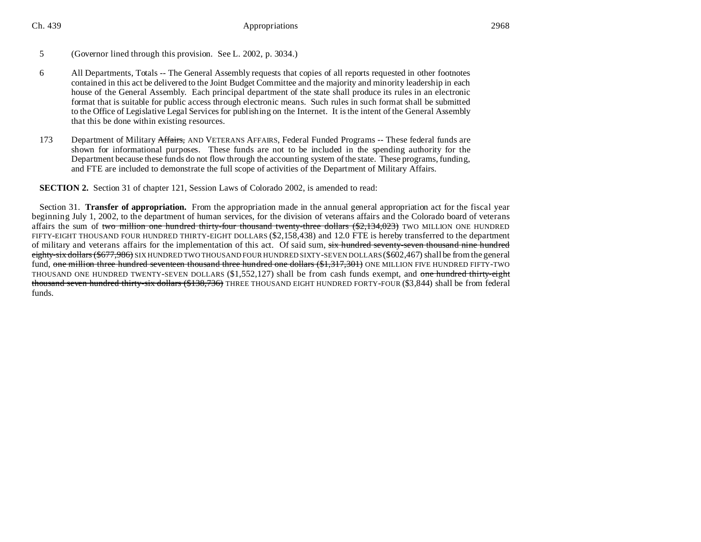Ch. 439 **Appropriations** 2968

#### 5 (Governor lined through this provision. See L. 2002, p. 3034.)

- 6 All Departments, Totals -- The General Assembly requests that copies of all reports requested in other footnotes contained in this act be delivered to the Joint Budget Committee and the majority and minority leadership in each house of the General Assembly. Each principal department of the state shall produce its rules in an electronic format that is suitable for public access through electronic means. Such rules in such format shall be submitted to the Office of Legislative Legal Services for publishing on the Internet. It is the intent of the General Assembly that this be done within existing resources.
- 173 Department of Military Affairs, AND VETERANS AFFAIRS, Federal Funded Programs -- These federal funds are shown for informational purposes. These funds are not to be included in the spending authority for the Department because these funds do not flow through the accounting system of the state. These programs, funding, and FTE are included to demonstrate the full scope of activities of the Department of Military Affairs.

**SECTION 2.** Section 31 of chapter 121, Session Laws of Colorado 2002, is amended to read:

Section 31. **Transfer of appropriation.** From the appropriation made in the annual general appropriation act for the fiscal year beginning July 1, 2002, to the department of human services, for the division of veterans affairs and the Colorado board of veterans affairs the sum of two million one hundred thirty-four thousand twenty-three dollars (\$2,134,023) TWO MILLION ONE HUNDRED FIFTY-EIGHT THOUSAND FOUR HUNDRED THIRTY-EIGHT DOLLARS (\$2,158,438) and 12.0 FTE is hereby transferred to the department of military and veterans affairs for the implementation of this act. Of said sum, six hundred seventy-seven thousand nine hundred eighty-six dollars (\$677,986) SIX HUNDRED TWO THOUSAND FOUR HUNDRED SIXTY-SEVEN DOLLARS (\$602,467) shall be from the general fund, one million three hundred seventeen thousand three hundred one dollars (\$1,317,301) ONE MILLION FIVE HUNDRED FIFTY-TWO THOUSAND ONE HUNDRED TWENTY-SEVEN DOLLARS  $(\$1,552,127)$  shall be from cash funds exempt, and one hundred thirty-eight thousand seven hundred thirty-six dollars (\$138,736) THREE THOUSAND EIGHT HUNDRED FORTY-FOUR (\$3,844) shall be from federal funds.